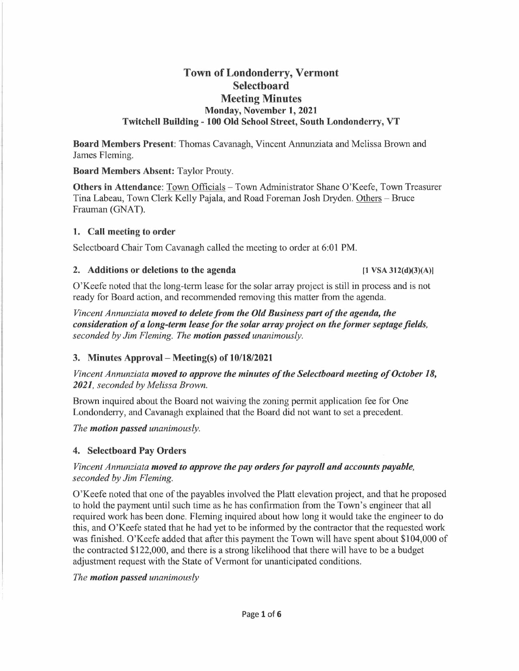# **Town of Londonderry, Vermont Selectboard Meeting Minutes Monday, November t, 2021 Twitchell Building - 100 Old School Street, South Londonderry, VT**

**Board Members Present:** Thomas Cavanagh, Vincent Annunziata and Melissa Brown and James Fleming.

**Board Members Absent:** Taylor Prouty.

**Others in Attendance: Town Officials - Town Administrator Shane O'Keefe, Town Treasurer** Tina Labeau, Town Clerk Kelly Pajala, and Road Foreman Josh Dryden. Others - Bruce Frauman (GNAT).

## **t. Call meeting to order**

Selectboard Chair Tom Cavanagh called the meeting to order at 6:01 PM.

## 2. Additions or deletions to the agenda **12.** (1 VSA 312(d)(3)(A)]

O'Keefe noted that the long-term lease for the solar array project is still in process and is not ready for Board action, and recommended removing this matter from the agenda.

*Vincent Annunziata moved to delete from the Old Business part of the agenda, the consideration of a long-term lease for the solar array project on the former septage fields, seconded by Jim Fleming. The motion passed unanimously.* 

## **3. Minutes Approval - Meeting(s) of 10/18/2021**

*Vincent Annunziata moved to approve the minutes of the Selectboard meeting of October 18, 2021, seconded by Melissa Brown.* 

Brown inquired about the Board not waiving the zoning permit application fee for One Londonderry, and Cavanagh explained that the Board did not want to set a precedent.

*The motion passed unanimously.* 

## **4. Selectboard Pay Orders**

## *Vincent Annunziata moved to approve the pay orders for payroll and accounts payable, seconded by Jim Fleming.*

O'Keefe noted that one of the payables involved the Platt elevation project, and that he proposed to hold the payment until such time as he has confirmation from the Town's engineer that all required work has been done. Fleming inquired about how long it would take the engineer to do this, and O'Keefe stated that he had yet to be informed by the contractor that the requested work was finished. O'Keefe added that after this payment the Town will have spent about \$104,000 of the contracted \$122,000, and there is a strong likelihood that there will have to be a budget adjustment request with the State of Vermont for unanticipated conditions.

*The motion passed unanimously*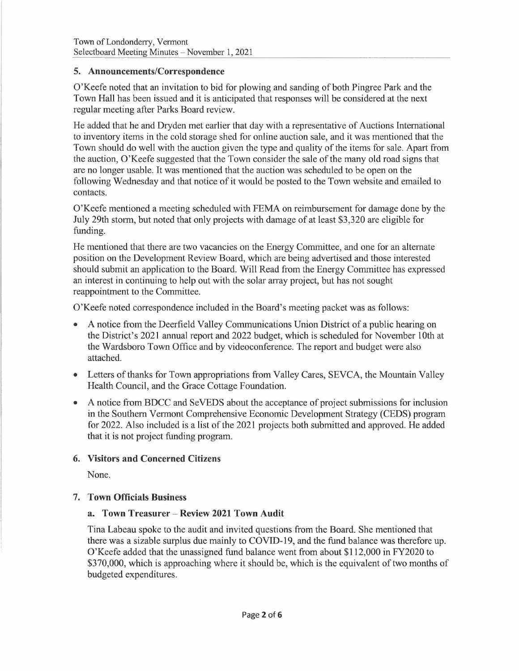## **5. Announcements/Correspondence**

O'Keefe noted that an invitation to bid for plowing and sanding of both Pingree Park and the Town Hall has been issued and it is anticipated that responses will be considered at the next regular meeting after Parks Board review.

He added that he and Dryden met earlier that day with a representative of Auctions International to inventory items in the cold storage shed for online auction sale, and it was mentioned that the Town should do well with the auction given the type and quality of the items for sale. Apart from the auction, O'Keefe suggested that the Town consider the sale of the many old road signs that are no longer usable. It was mentioned that the auction was scheduled to be open on the following Wednesday and that notice of it would be posted to the Town website and emailed to contacts.

O'Keefe mentioned a meeting scheduled with FEMA on reimbursement for damage done by the July 29th storm, but noted that only projects with damage of at least \$3,320 are eligible for funding.

He mentioned that there are two vacancies on the Energy Committee, and one for an alternate position on the Development Review Board, which are being advertised and those interested should submit an application to the Board. Will Read from the Energy Committee has expressed an interest in continuing to help out with the solar array project, but has not sought reappointment to the Committee.

O'Keefe noted correspondence included in the Board's meeting packet was as follows:

- A notice from the Deerfield Valley Communications Union District of a public hearing on the District's 2021 annual report and 2022 budget, which is scheduled for November 10th at the Wardsboro Town Office and by videoconference. The report and budget were also attached.
- Letters of thanks for Town appropriations from Valley Cares, SEVCA, the Mountain Valley Health Council, and the Grace Cottage Foundation.
- A notice from BDCC and SeVEDS about the acceptance of project submissions for inclusion in the Southern Vermont Comprehensive Economic Development Strategy (CEDS) program for 2022. Also included is a list of the 2021 projects both submitted and approved. He added that it is not project funding program.

## **6. Visitors and Concerned Citizens**

None.

## **7. Town Officials Business**

## **a. Town Treasurer - Review 2021 Town Audit**

Tina Labeau spoke to the audit and invited questions from the Board. She mentioned that there was a sizable surplus due mainly to COVID-19, and the fund balance was therefore up. O'Keefe added that the unassigned fund balance went from about \$112,000 in FY2020 to \$370,000, which is approaching where it should be, which is the equivalent of two months of budgeted expenditures.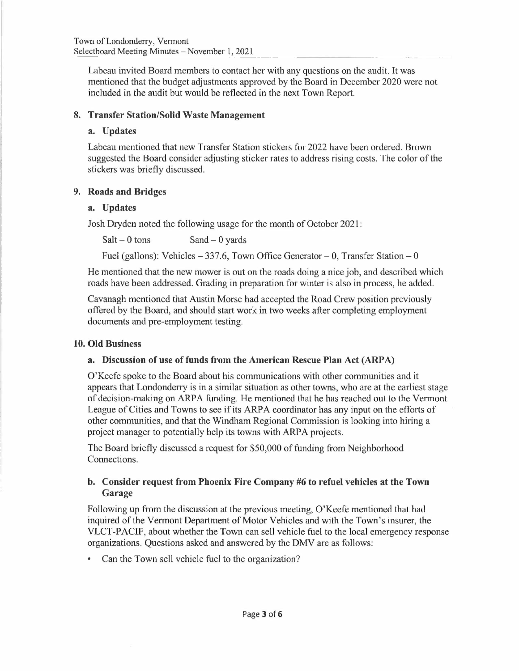Labeau invited Board members to contact her with any questions on the audit. It was mentioned that the budget adjustments approved by the Board in December 2020 were not included in the audit but would be reflected in the next Town Report.

## **8. Transfer Station/Solid Waste Management**

#### **a. Updates**

Labeau mentioned that new Transfer Station stickers for 2022 have been ordered. Brown suggested the Board consider adjusting sticker rates to address rising costs. The color of the stickers was briefly discussed.

#### **9. Roads and Bridges**

#### **a. Updates**

Josh Dryden noted the following usage for the month of October 2021:

 $Salt - 0$  tons  $Sand - 0$  yards

Fuel (gallons): Vehicles  $-337.6$ , Town Office Generator  $- 0$ , Transfer Station  $- 0$ 

He mentioned that the new mower is out on the roads doing a nice job, and described which roads have been addressed. Grading in preparation for winter is also in process, he added.

Cavanagh mentioned that Austin Morse had accepted the Road Crew position previously offered by the Board, and should start work in two weeks after completing employment documents and pre-employment testing.

#### **10. Old Business**

## **a. Discussion of use of funds from the American Rescue Plan Act (ARP A)**

O'Keefe spoke to the Board about his communications with other communities and it appears that Londonderry is in a similar situation as other towns, who are at the earliest stage of decision-making on ARPA funding. He mentioned that he has reached out to the Vermont League of Cities and Towns to see if its ARP A coordinator has any input on the efforts of other communities, and that the Windham Regional Commission is looking into hiring a project manager to potentially help its towns with ARPA projects.

The Board briefly discussed a request for \$50,000 of funding from Neighborhood Connections.

## **b. Consider request from Phoenix Fire Company #6 to refuel vehicles at the Town Garage**

Following up from the discussion at the previous meeting, O'Keefe mentioned that had inquired of the Vermont Department of Motor Vehicles and with the Town's insurer, the VLCT-PACIF, about whether the Town can sell vehicle fuel to the local emergency response organizations. Questions asked and answered by the OMV are as follows:

Can the Town sell vehicle fuel to the organization?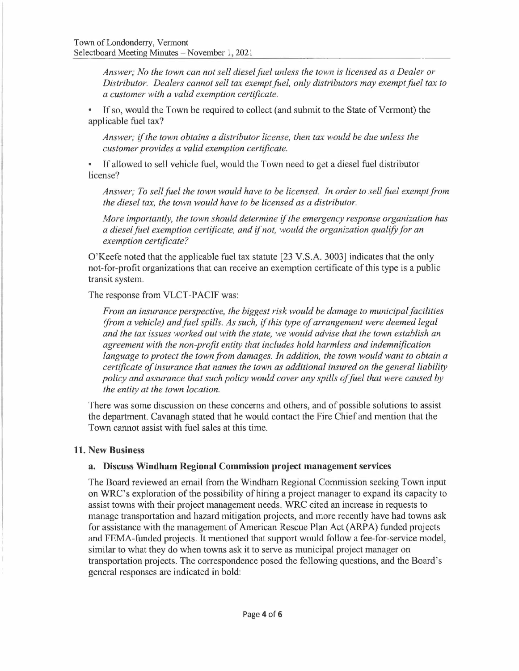*Answer; No the town can not sell diesel fuel unless the town is licensed as a Dealer or Distributor. Dealers cannot sell tax exempt fuel, only distributors may exempt fuel tax to a customer with a valid exemption certificate.* 

If so, would the Town be required to collect (and submit to the State of Vermont) the applicable fuel tax?

*Answer; if the town obtains a distributor license, then tax would be due unless the customer provides a valid exemption certificate.* 

• If allowed to sell vehicle fuel, would the Town need to get a diesel fuel distributor license?

*Answer; To sell fuel the town would have to be licensed. In order to sell fuel exempt from the diesel tax, the town would have to be licensed as a distributor.* 

*More importantly, the town should determine if the emergency response organization has a dieselfuel exemption certificate, and if not, would the organization qualify for an exemption certificate?* 

O'Keefe noted that the applicable fuel tax statute [23 V.S.A. 3003] indicates that the only not-for-profit organizations that can receive an exemption certificate of this type is a public transit system.

The response from VLCT-PACIF was:

*From an insurance perspective, the biggest risk would be damage to municipal facilities (from a vehicle) and fuel spills. As such, if this type of arrangement were deemed legal and the tax issues worked out with the state, we would advise that the town establish an agreement with the non-profit entity that includes hold harmless and indemnification language to protect the town from damages. In addition, the town would want to obtain a certificate of insurance that names the town as additional insured on the general liability policy and assurance that such policy would cover any spills offuel that were caused by the entity at the town location.* 

There was some discussion on these concerns and others, and of possible solutions to assist the department. Cavanagh stated that he would contact the Fire Chief and mention that the Town cannot assist with fuel sales at this time.

#### **11. New Business**

## **a. Discuss Windham Regional Commission project management services**

The Board reviewed an email from the Windham Regional Commission seeking Town input on WRC's exploration of the possibility of hiring a project manager to expand its capacity to assist towns with their project management needs. WRC cited an increase in requests to manage transportation and hazard mitigation projects, and more recently have had towns ask for assistance with the management of American Rescue Plan Act (ARPA) funded projects and FEMA-funded projects. It mentioned that support would follow a fee-for-service model, similar to what they do when towns ask it to serve as municipal project manager on transportation projects. The correspondence posed the following questions, and the Board's general responses are indicated in bold: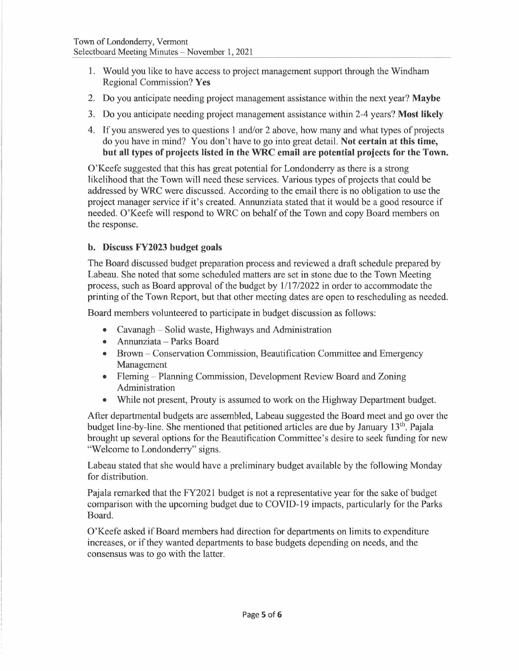- 1. Would you like to have access to project management support through the Windham Regional Commission? **Yes**
- 2. Do you anticipate needing project management assistance within the next year? **Maybe**
- 3. Do you anticipate needing project management assistance within 2-4 years? **Most likely**
- 4. If you answered yes to questions 1 and/or 2 above, how many and what types of projects do you have in mind? You don't have to go into great detail. **Not certain at this time, but all types of projects listed in the WRC email are potential projects for the Town.**

O'Keefe suggested that this has great potential for Londonderry as there is a strong likelihood that the Town will need these services. Various types of projects that could be addressed by WRC were discussed. According to the email there is no obligation to use the project manager service if it's created. Annunziata stated that it would be a good resource if needed. O'Keefe will respond to WRC on behalf of the Town and copy Board members on the response.

## **b. Discuss FY2023 budget goals**

The Board discussed budget preparation process and reviewed a draft schedule prepared by Labeau. She noted that some scheduled matters are set in stone due to the Town Meeting process, such as Board approval of the budget by 1/17/2022 in order to accommodate the printing of the Town Report, but that other meeting dates are open to rescheduling as needed.

Board members volunteered to participate in budget discussion as follows:

- Cavanagh Solid waste, Highways and Administration
- Annunziata Parks Board
- Brown Conservation Commission, Beautification Committee and Emergency Management
- Fleming Planning Commission, Development Review Board and Zoning Administration
- While not present, Prouty is assumed to work on the Highway Department budget.

After departmental budgets are assembled, Labeau suggested the Board meet and go over the budget line-by-line. She mentioned that petitioned articles are due by January 13<sup>th</sup>. Pajala brought up several options for the Beautification Committee's desire to seek funding for new "Welcome to Londonderry" signs.

Labeau stated that she would have a preliminary budget available by the following Monday for distribution.

Pajala remarked that the FY2021 budget is not a representative year for the sake of budget comparison with the upcoming budget due to COVID-19 impacts, particularly for the Parks Board.

O'Keefe asked if Board members had direction for departments on limits to expenditure increases, or if they wanted departments to base budgets depending on needs, and the consensus was to go with the latter.